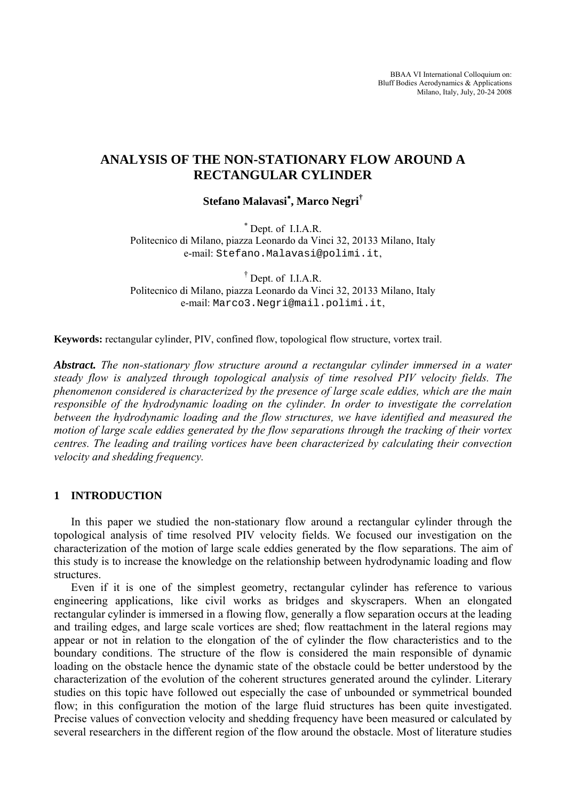BBAA VI International Colloquium on: Bluff Bodies Aerodynamics & Applications Milano, Italy, July, 20-24 2008

# **ANALYSIS OF THE NON-STATIONARY FLOW AROUND A RECTANGULAR CYLINDER**

**Stefano Malavasi**<sup>∗</sup> **, Marco Negri†** 

<sup>∗</sup> Dept. of I.I.A.R. Politecnico di Milano, piazza Leonardo da Vinci 32, 20133 Milano, Italy e-mail: Stefano.Malavasi@polimi.it,

† Dept. of I.I.A.R. Politecnico di Milano, piazza Leonardo da Vinci 32, 20133 Milano, Italy e-mail: Marco3.Negri@mail.polimi.it,

**Keywords:** rectangular cylinder, PIV, confined flow, topological flow structure, vortex trail.

*Abstract. The non-stationary flow structure around a rectangular cylinder immersed in a water steady flow is analyzed through topological analysis of time resolved PIV velocity fields. The phenomenon considered is characterized by the presence of large scale eddies, which are the main responsible of the hydrodynamic loading on the cylinder. In order to investigate the correlation between the hydrodynamic loading and the flow structures, we have identified and measured the motion of large scale eddies generated by the flow separations through the tracking of their vortex centres. The leading and trailing vortices have been characterized by calculating their convection velocity and shedding frequency.* 

# **1 INTRODUCTION**

In this paper we studied the non-stationary flow around a rectangular cylinder through the topological analysis of time resolved PIV velocity fields. We focused our investigation on the characterization of the motion of large scale eddies generated by the flow separations. The aim of this study is to increase the knowledge on the relationship between hydrodynamic loading and flow structures.

Even if it is one of the simplest geometry, rectangular cylinder has reference to various engineering applications, like civil works as bridges and skyscrapers. When an elongated rectangular cylinder is immersed in a flowing flow, generally a flow separation occurs at the leading and trailing edges, and large scale vortices are shed; flow reattachment in the lateral regions may appear or not in relation to the elongation of the of cylinder the flow characteristics and to the boundary conditions. The structure of the flow is considered the main responsible of dynamic loading on the obstacle hence the dynamic state of the obstacle could be better understood by the characterization of the evolution of the coherent structures generated around the cylinder. Literary studies on this topic have followed out especially the case of unbounded or symmetrical bounded flow; in this configuration the motion of the large fluid structures has been quite investigated. Precise values of convection velocity and shedding frequency have been measured or calculated by several researchers in the different region of the flow around the obstacle. Most of literature studies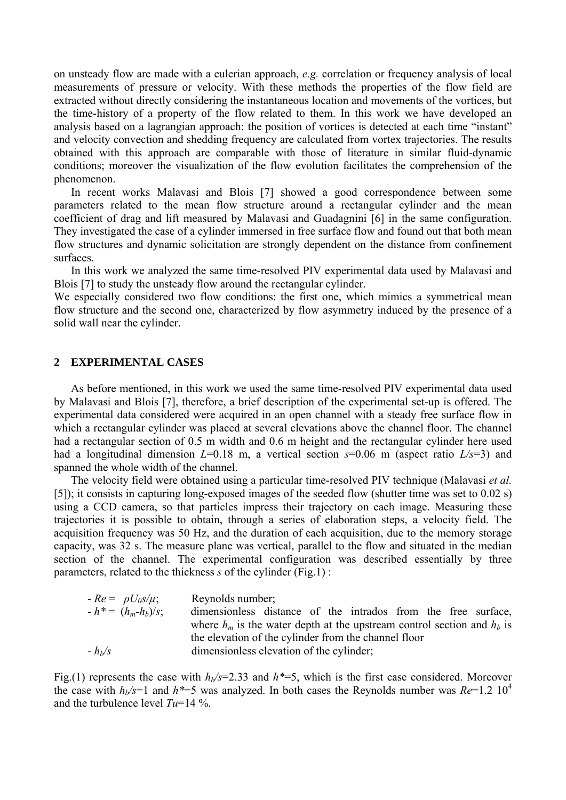on unsteady flow are made with a eulerian approach, *e.g.* correlation or frequency analysis of local measurements of pressure or velocity. With these methods the properties of the flow field are extracted without directly considering the instantaneous location and movements of the vortices, but the time-history of a property of the flow related to them. In this work we have developed an analysis based on a lagrangian approach: the position of vortices is detected at each time "instant" and velocity convection and shedding frequency are calculated from vortex trajectories. The results obtained with this approach are comparable with those of literature in similar fluid-dynamic conditions; moreover the visualization of the flow evolution facilitates the comprehension of the phenomenon.

In recent works Malavasi and Blois [7] showed a good correspondence between some parameters related to the mean flow structure around a rectangular cylinder and the mean coefficient of drag and lift measured by Malavasi and Guadagnini [6] in the same configuration. They investigated the case of a cylinder immersed in free surface flow and found out that both mean flow structures and dynamic solicitation are strongly dependent on the distance from confinement surfaces.

In this work we analyzed the same time-resolved PIV experimental data used by Malavasi and Blois [7] to study the unsteady flow around the rectangular cylinder.

We especially considered two flow conditions: the first one, which mimics a symmetrical mean flow structure and the second one, characterized by flow asymmetry induced by the presence of a solid wall near the cylinder.

## **2 EXPERIMENTAL CASES**

As before mentioned, in this work we used the same time-resolved PIV experimental data used by Malavasi and Blois [7], therefore, a brief description of the experimental set-up is offered. The experimental data considered were acquired in an open channel with a steady free surface flow in which a rectangular cylinder was placed at several elevations above the channel floor. The channel had a rectangular section of 0.5 m width and 0.6 m height and the rectangular cylinder here used had a longitudinal dimension *L*=0.18 m, a vertical section *s*=0.06 m (aspect ratio *L/s*=3) and spanned the whole width of the channel.

The velocity field were obtained using a particular time-resolved PIV technique (Malavasi *et al.* [5]); it consists in capturing long-exposed images of the seeded flow (shutter time was set to 0.02 s) using a CCD camera, so that particles impress their trajectory on each image. Measuring these trajectories it is possible to obtain, through a series of elaboration steps, a velocity field. The acquisition frequency was 50 Hz, and the duration of each acquisition, due to the memory storage capacity, was 32 s. The measure plane was vertical, parallel to the flow and situated in the median section of the channel. The experimental configuration was described essentially by three parameters, related to the thickness *s* of the cylinder (Fig.1) :

| $-Re = \rho U_0 s/\mu$ ; | Reynolds number;                                                            |  |  |  |  |  |  |
|--------------------------|-----------------------------------------------------------------------------|--|--|--|--|--|--|
| $-h^* = (h_m - h_b)/s;$  | dimensionless distance of the intrados from the free surface,               |  |  |  |  |  |  |
|                          | where $h_m$ is the water depth at the upstream control section and $h_b$ is |  |  |  |  |  |  |
|                          | the elevation of the cylinder from the channel floor                        |  |  |  |  |  |  |
| $-hb/s$                  | dimensionless elevation of the cylinder;                                    |  |  |  |  |  |  |

Fig.(1) represents the case with *hb/s*=2.33 and *h\**=5, which is the first case considered. Moreover the case with  $h_b$ /s=1 and  $h^*=$ 5 was analyzed. In both cases the Reynolds number was  $Re=1.2$  10<sup>4</sup> and the turbulence level *Tu*=14 %.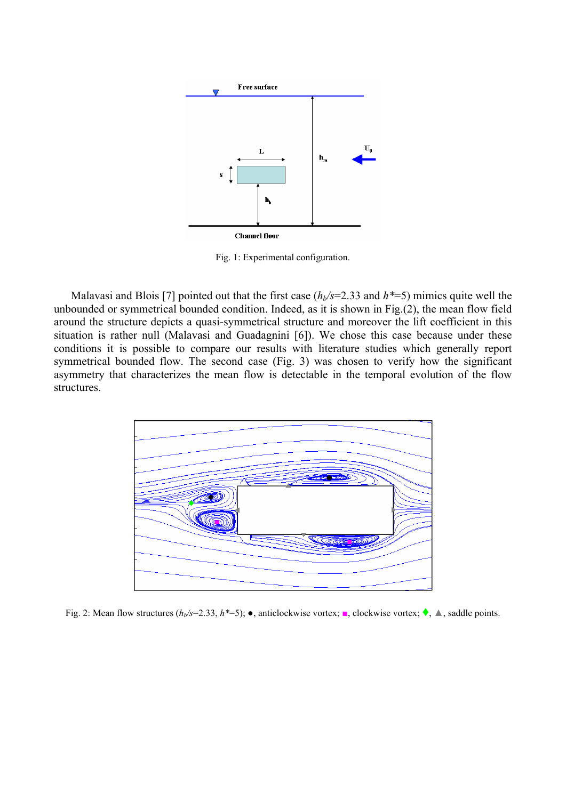

Fig. 1: Experimental configuration.

Malavasi and Blois [7] pointed out that the first case  $(h_b/s=2.33$  and  $h^*=5)$  mimics quite well the unbounded or symmetrical bounded condition. Indeed, as it is shown in Fig.(2), the mean flow field around the structure depicts a quasi-symmetrical structure and moreover the lift coefficient in this situation is rather null (Malavasi and Guadagnini [6]). We chose this case because under these conditions it is possible to compare our results with literature studies which generally report symmetrical bounded flow. The second case (Fig. 3) was chosen to verify how the significant asymmetry that characterizes the mean flow is detectable in the temporal evolution of the flow structures.



Fig. 2: Mean flow structures (*hb/s*=2.33, *h\**=5); ●, anticlockwise vortex; ■, clockwise vortex; ♦, ▲, saddle points.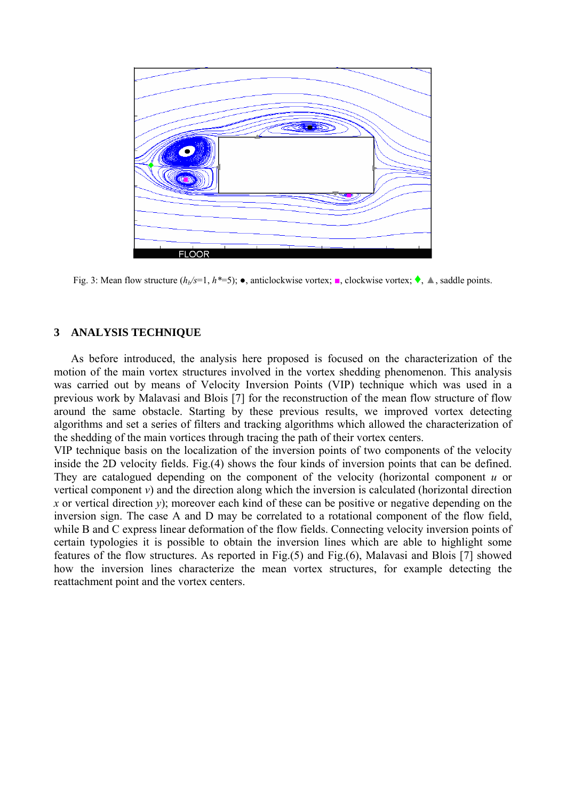

Fig. 3: Mean flow structure (*hb/s*=1, *h\**=5); ●, anticlockwise vortex; ■, clockwise vortex; ♦, ▲, saddle points.

# **3 ANALYSIS TECHNIQUE**

As before introduced, the analysis here proposed is focused on the characterization of the motion of the main vortex structures involved in the vortex shedding phenomenon. This analysis was carried out by means of Velocity Inversion Points (VIP) technique which was used in a previous work by Malavasi and Blois [7] for the reconstruction of the mean flow structure of flow around the same obstacle. Starting by these previous results, we improved vortex detecting algorithms and set a series of filters and tracking algorithms which allowed the characterization of the shedding of the main vortices through tracing the path of their vortex centers.

VIP technique basis on the localization of the inversion points of two components of the velocity inside the 2D velocity fields. Fig.(4) shows the four kinds of inversion points that can be defined. They are catalogued depending on the component of the velocity (horizontal component *u* or vertical component *v*) and the direction along which the inversion is calculated (horizontal direction *x* or vertical direction *y*); moreover each kind of these can be positive or negative depending on the inversion sign. The case A and D may be correlated to a rotational component of the flow field, while B and C express linear deformation of the flow fields. Connecting velocity inversion points of certain typologies it is possible to obtain the inversion lines which are able to highlight some features of the flow structures. As reported in Fig.(5) and Fig.(6), Malavasi and Blois [7] showed how the inversion lines characterize the mean vortex structures, for example detecting the reattachment point and the vortex centers.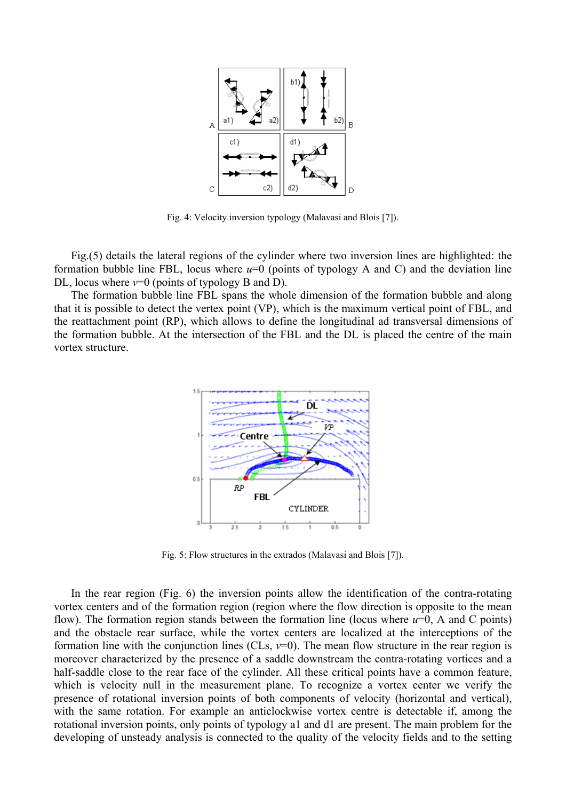

Fig. 4: Velocity inversion typology (Malavasi and Blois [7]).

Fig.(5) details the lateral regions of the cylinder where two inversion lines are highlighted: the formation bubble line FBL, locus where  $u=0$  (points of typology A and C) and the deviation line DL, locus where  $v=0$  (points of typology B and D).

The formation bubble line FBL spans the whole dimension of the formation bubble and along that it is possible to detect the vertex point (VP), which is the maximum vertical point of FBL, and the reattachment point (RP), which allows to define the longitudinal ad transversal dimensions of the formation bubble. At the intersection of the FBL and the DL is placed the centre of the main vortex structure.



Fig. 5: Flow structures in the extrados (Malavasi and Blois [7]).

In the rear region (Fig. 6) the inversion points allow the identification of the contra-rotating vortex centers and of the formation region (region where the flow direction is opposite to the mean flow). The formation region stands between the formation line (locus where  $u=0$ , A and C points) and the obstacle rear surface, while the vortex centers are localized at the interceptions of the formation line with the conjunction lines (CLs,  $v=0$ ). The mean flow structure in the rear region is moreover characterized by the presence of a saddle downstream the contra-rotating vortices and a half-saddle close to the rear face of the cylinder. All these critical points have a common feature, which is velocity null in the measurement plane. To recognize a vortex center we verify the presence of rotational inversion points of both components of velocity (horizontal and vertical), with the same rotation. For example an anticlockwise vortex centre is detectable if, among the rotational inversion points, only points of typology a1 and d1 are present. The main problem for the developing of unsteady analysis is connected to the quality of the velocity fields and to the setting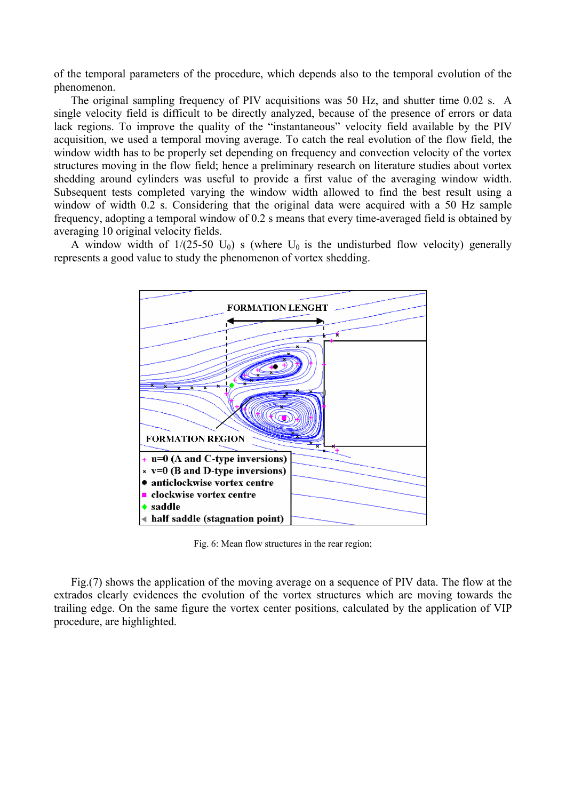of the temporal parameters of the procedure, which depends also to the temporal evolution of the phenomenon.

The original sampling frequency of PIV acquisitions was 50 Hz, and shutter time 0.02 s. A single velocity field is difficult to be directly analyzed, because of the presence of errors or data lack regions. To improve the quality of the "instantaneous" velocity field available by the PIV acquisition, we used a temporal moving average. To catch the real evolution of the flow field, the window width has to be properly set depending on frequency and convection velocity of the vortex structures moving in the flow field; hence a preliminary research on literature studies about vortex shedding around cylinders was useful to provide a first value of the averaging window width. Subsequent tests completed varying the window width allowed to find the best result using a window of width 0.2 s. Considering that the original data were acquired with a 50 Hz sample frequency, adopting a temporal window of 0.2 s means that every time-averaged field is obtained by averaging 10 original velocity fields.

A window width of  $1/(25-50 \text{ U}_0)$  s (where  $\text{U}_0$  is the undisturbed flow velocity) generally represents a good value to study the phenomenon of vortex shedding.



Fig. 6: Mean flow structures in the rear region;

Fig.(7) shows the application of the moving average on a sequence of PIV data. The flow at the extrados clearly evidences the evolution of the vortex structures which are moving towards the trailing edge. On the same figure the vortex center positions, calculated by the application of VIP procedure, are highlighted.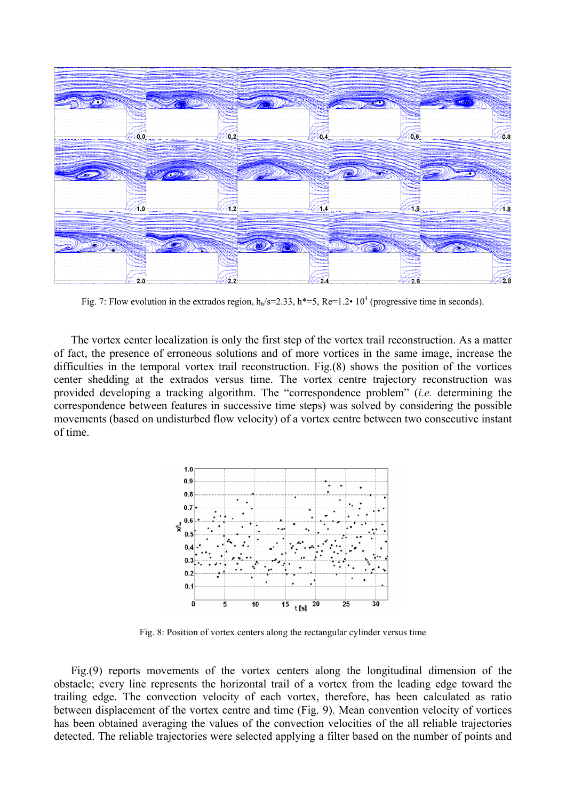

Fig. 7: Flow evolution in the extrados region,  $h_b/s=2.33$ ,  $h^*=5$ , Re=1.2• 10<sup>4</sup> (progressive time in seconds).

The vortex center localization is only the first step of the vortex trail reconstruction. As a matter of fact, the presence of erroneous solutions and of more vortices in the same image, increase the difficulties in the temporal vortex trail reconstruction. Fig.(8) shows the position of the vortices center shedding at the extrados versus time. The vortex centre trajectory reconstruction was provided developing a tracking algorithm. The "correspondence problem" (*i.e.* determining the correspondence between features in successive time steps) was solved by considering the possible movements (based on undisturbed flow velocity) of a vortex centre between two consecutive instant of time.



Fig. 8: Position of vortex centers along the rectangular cylinder versus time

Fig.(9) reports movements of the vortex centers along the longitudinal dimension of the obstacle; every line represents the horizontal trail of a vortex from the leading edge toward the trailing edge. The convection velocity of each vortex, therefore, has been calculated as ratio between displacement of the vortex centre and time (Fig. 9). Mean convention velocity of vortices has been obtained averaging the values of the convection velocities of the all reliable trajectories detected. The reliable trajectories were selected applying a filter based on the number of points and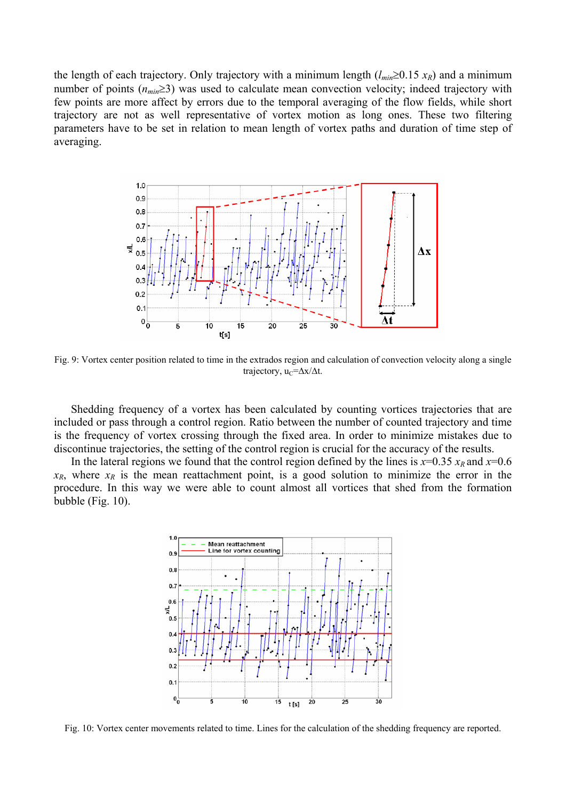the length of each trajectory. Only trajectory with a minimum length  $(l_{min} \ge 0.15 x_R)$  and a minimum number of points ( $n_{min}$ ≥3) was used to calculate mean convection velocity; indeed trajectory with few points are more affect by errors due to the temporal averaging of the flow fields, while short trajectory are not as well representative of vortex motion as long ones. These two filtering parameters have to be set in relation to mean length of vortex paths and duration of time step of averaging.



Fig. 9: Vortex center position related to time in the extrados region and calculation of convection velocity along a single trajectory, u<sub>C</sub>= $\Delta x/\Delta t$ .

Shedding frequency of a vortex has been calculated by counting vortices trajectories that are included or pass through a control region. Ratio between the number of counted trajectory and time is the frequency of vortex crossing through the fixed area. In order to minimize mistakes due to discontinue trajectories, the setting of the control region is crucial for the accuracy of the results.

In the lateral regions we found that the control region defined by the lines is  $x=0.35$   $x_R$  and  $x=0.6$  $x_R$ , where  $x_R$  is the mean reattachment point, is a good solution to minimize the error in the procedure. In this way we were able to count almost all vortices that shed from the formation bubble (Fig. 10).



Fig. 10: Vortex center movements related to time. Lines for the calculation of the shedding frequency are reported.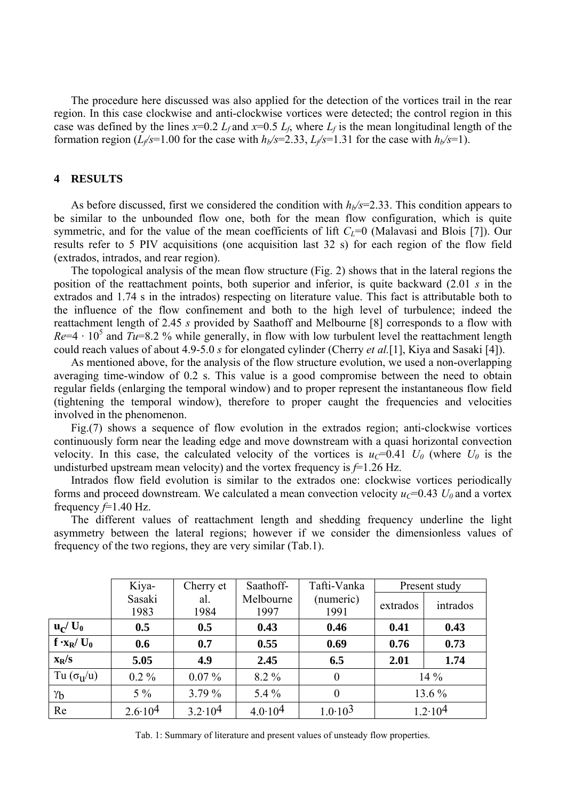The procedure here discussed was also applied for the detection of the vortices trail in the rear region. In this case clockwise and anti-clockwise vortices were detected; the control region in this case was defined by the lines  $x=0.2$  *L<sub>f</sub>* and  $x=0.5$  *L<sub>f</sub>*, where *L<sub>f</sub>* is the mean longitudinal length of the formation region ( $L_f$ /s=1.00 for the case with  $h_b$ /s=2.33,  $L_f$ /s=1.31 for the case with  $h_b$ /s=1).

### **4 RESULTS**

As before discussed, first we considered the condition with  $h<sub>b</sub>/s=2.33$ . This condition appears to be similar to the unbounded flow one, both for the mean flow configuration, which is quite symmetric, and for the value of the mean coefficients of lift  $C_l$ =0 (Malavasi and Blois [7]). Our results refer to 5 PIV acquisitions (one acquisition last 32 s) for each region of the flow field (extrados, intrados, and rear region).

The topological analysis of the mean flow structure (Fig. 2) shows that in the lateral regions the position of the reattachment points, both superior and inferior, is quite backward (2.01 *s* in the extrados and 1.74 s in the intrados) respecting on literature value. This fact is attributable both to the influence of the flow confinement and both to the high level of turbulence; indeed the reattachment length of 2.45 *s* provided by Saathoff and Melbourne [8] corresponds to a flow with  $Re=4 \cdot 10^5$  and  $Tu=8.2$  % while generally, in flow with low turbulent level the reattachment length could reach values of about 4.9-5.0 *s* for elongated cylinder (Cherry *et al.*[1], Kiya and Sasaki [4]).

As mentioned above, for the analysis of the flow structure evolution, we used a non-overlapping averaging time-window of 0.2 s. This value is a good compromise between the need to obtain regular fields (enlarging the temporal window) and to proper represent the instantaneous flow field (tightening the temporal window), therefore to proper caught the frequencies and velocities involved in the phenomenon.

Fig.(7) shows a sequence of flow evolution in the extrados region; anti-clockwise vortices continuously form near the leading edge and move downstream with a quasi horizontal convection velocity. In this case, the calculated velocity of the vortices is  $u_c=0.41$   $U_0$  (where  $U_0$  is the undisturbed upstream mean velocity) and the vortex frequency is  $f=1.26$  Hz.

Intrados flow field evolution is similar to the extrados one: clockwise vortices periodically forms and proceed downstream. We calculated a mean convection velocity  $u_C$ =0.43  $U_0$  and a vortex frequency  $f=1.40$  Hz.

The different values of reattachment length and shedding frequency underline the light asymmetry between the lateral regions; however if we consider the dimensionless values of frequency of the two regions, they are very similar (Tab.1).

|                               | Kiya-              | Cherry et          | Saathoff-          | Tafti-Vanka       | Present study      |          |
|-------------------------------|--------------------|--------------------|--------------------|-------------------|--------------------|----------|
|                               | Sasaki<br>1983     | al.<br>1984        | Melbourne<br>1997  | (numeric)<br>1991 | extrados           | intrados |
| $\mathbf{u_c} / \mathbf{U_0}$ | 0.5                | 0.5                | 0.43               | 0.46              | 0.41               | 0.43     |
|                               |                    |                    |                    |                   |                    |          |
| $f \cdot x_R / U_0$           | 0.6                | 0.7                | 0.55               | 0.69              | 0.76               | 0.73     |
| $x_R/s$                       | 5.05               | 4.9                | 2.45               | 6.5               | 2.01               | 1.74     |
| Tu $(\sigma_{\rm u}/u)$       | $0.2\%$            | $0.07\%$           | $8.2\%$            | $\theta$          | $14\%$             |          |
| $\gamma_{\rm b}$              | $5\%$              | 3.79%              | 5.4 $%$            | $\overline{0}$    | 13.6 %             |          |
| Re                            | $2.6 \cdot 10^{4}$ | $3.2 \cdot 10^{4}$ | $4.0 \cdot 10^{4}$ | $1.0 \cdot 10^3$  | $1.2 \cdot 10^{4}$ |          |

Tab. 1: Summary of literature and present values of unsteady flow properties.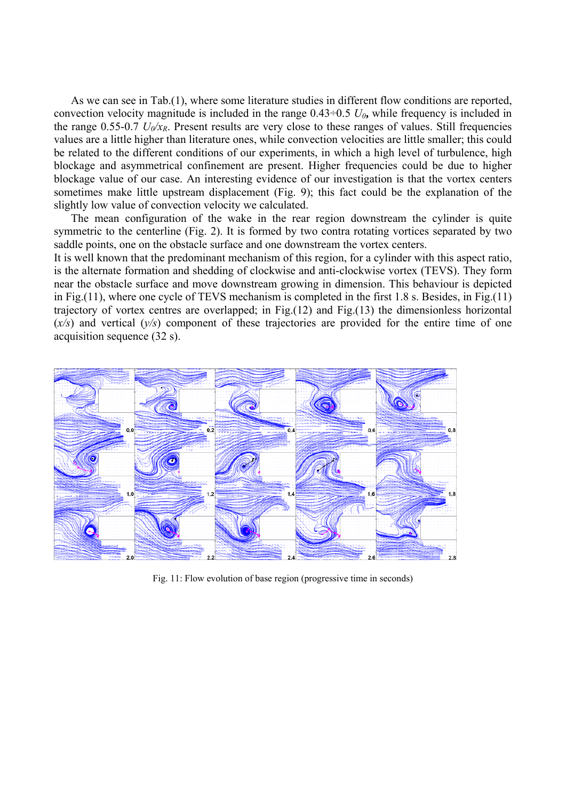As we can see in Tab.(1), where some literature studies in different flow conditions are reported, convection velocity magnitude is included in the range  $0.43 \div 0.5 U_0$ , while frequency is included in the range 0.55-0.7  $U_0/x_R$ . Present results are very close to these ranges of values. Still frequencies values are a little higher than literature ones, while convection velocities are little smaller; this could be related to the different conditions of our experiments, in which a high level of turbulence, high blockage and asymmetrical confinement are present. Higher frequencies could be due to higher blockage value of our case. An interesting evidence of our investigation is that the vortex centers sometimes make little upstream displacement (Fig. 9); this fact could be the explanation of the slightly low value of convection velocity we calculated.

The mean configuration of the wake in the rear region downstream the cylinder is quite symmetric to the centerline (Fig. 2). It is formed by two contra rotating vortices separated by two saddle points, one on the obstacle surface and one downstream the vortex centers.

It is well known that the predominant mechanism of this region, for a cylinder with this aspect ratio, is the alternate formation and shedding of clockwise and anti-clockwise vortex (TEVS). They form near the obstacle surface and move downstream growing in dimension. This behaviour is depicted in Fig.(11), where one cycle of TEVS mechanism is completed in the first 1.8 s. Besides, in Fig.(11) trajectory of vortex centres are overlapped; in Fig.(12) and Fig.(13) the dimensionless horizontal (*x/s*) and vertical (*y/s*) component of these trajectories are provided for the entire time of one acquisition sequence (32 s).



Fig. 11: Flow evolution of base region (progressive time in seconds)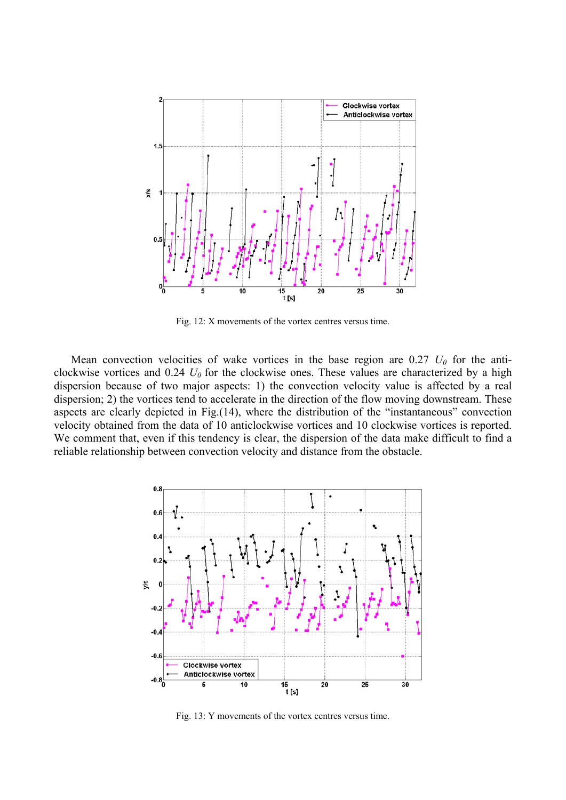

Fig. 12: X movements of the vortex centres versus time.

Mean convection velocities of wake vortices in the base region are  $0.27 U_0$  for the anticlockwise vortices and 0.24 *U0* for the clockwise ones. These values are characterized by a high dispersion because of two major aspects: 1) the convection velocity value is affected by a real dispersion; 2) the vortices tend to accelerate in the direction of the flow moving downstream. These aspects are clearly depicted in Fig.(14), where the distribution of the "instantaneous" convection velocity obtained from the data of 10 anticlockwise vortices and 10 clockwise vortices is reported. We comment that, even if this tendency is clear, the dispersion of the data make difficult to find a reliable relationship between convection velocity and distance from the obstacle.



Fig. 13: Y movements of the vortex centres versus time.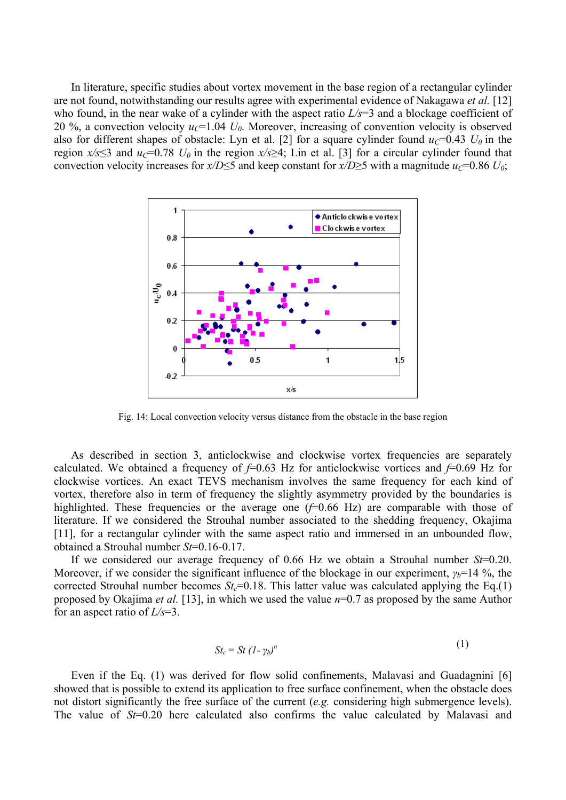In literature, specific studies about vortex movement in the base region of a rectangular cylinder are not found, notwithstanding our results agree with experimental evidence of Nakagawa *et al.* [12] who found, in the near wake of a cylinder with the aspect ratio  $L/s=3$  and a blockage coefficient of 20 %, a convection velocity  $u_C$ =1.04  $U_0$ . Moreover, increasing of convention velocity is observed also for different shapes of obstacle: Lyn et al. [2] for a square cylinder found  $u_c$ =0.43  $U_0$  in the region  $x/s \leq 3$  and  $u_C=0.78$   $U_0$  in the region  $x/s \geq 4$ ; Lin et al. [3] for a circular cylinder found that convection velocity increases for *x/D*≤5 and keep constant for *x/D*≥5 with a magnitude *u*<sub>*C*</sub>=0.86 *U*<sub>0</sub>;



Fig. 14: Local convection velocity versus distance from the obstacle in the base region

As described in section 3, anticlockwise and clockwise vortex frequencies are separately calculated. We obtained a frequency of  $f=0.63$  Hz for anticlockwise vortices and  $f=0.69$  Hz for clockwise vortices. An exact TEVS mechanism involves the same frequency for each kind of vortex, therefore also in term of frequency the slightly asymmetry provided by the boundaries is highlighted. These frequencies or the average one ( $f=0.66$  Hz) are comparable with those of literature. If we considered the Strouhal number associated to the shedding frequency, Okajima [11], for a rectangular cylinder with the same aspect ratio and immersed in an unbounded flow, obtained a Strouhal number *St*=0.16-0.17.

If we considered our average frequency of 0.66 Hz we obtain a Strouhal number *St*=0.20. Moreover, if we consider the significant influence of the blockage in our experiment,  $\gamma_b = 14 \gamma_0$ , the corrected Strouhal number becomes  $St_c = 0.18$ . This latter value was calculated applying the Eq.(1) proposed by Okajima *et al.* [13], in which we used the value *n*=0.7 as proposed by the same Author for an aspect ratio of *L/s*=3.

$$
St_c = St \ (1 - \gamma_b)^n \tag{1}
$$

Even if the Eq. (1) was derived for flow solid confinements, Malavasi and Guadagnini [6] showed that is possible to extend its application to free surface confinement, when the obstacle does not distort significantly the free surface of the current (*e.g.* considering high submergence levels). The value of *St*=0.20 here calculated also confirms the value calculated by Malavasi and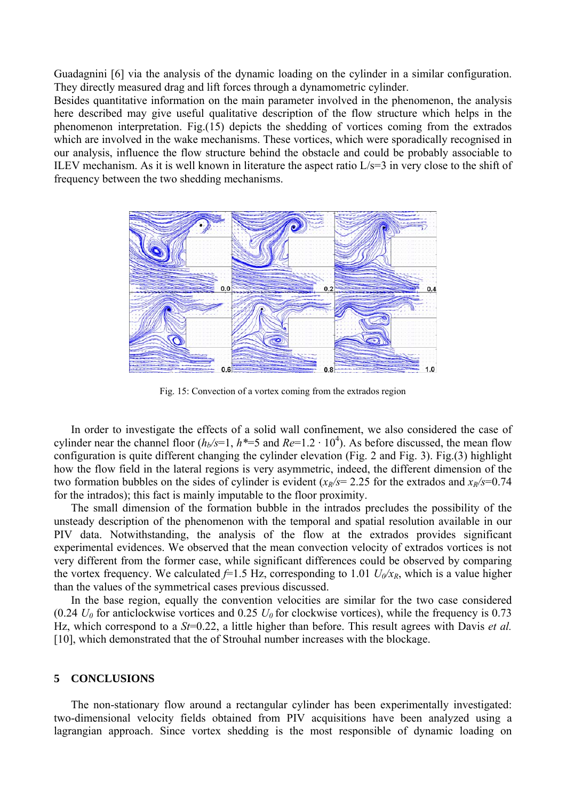Guadagnini [6] via the analysis of the dynamic loading on the cylinder in a similar configuration. They directly measured drag and lift forces through a dynamometric cylinder.

Besides quantitative information on the main parameter involved in the phenomenon, the analysis here described may give useful qualitative description of the flow structure which helps in the phenomenon interpretation. Fig.(15) depicts the shedding of vortices coming from the extrados which are involved in the wake mechanisms. These vortices, which were sporadically recognised in our analysis, influence the flow structure behind the obstacle and could be probably associable to ILEV mechanism. As it is well known in literature the aspect ratio  $L/s=3$  in very close to the shift of frequency between the two shedding mechanisms.



Fig. 15: Convection of a vortex coming from the extrados region

In order to investigate the effects of a solid wall confinement, we also considered the case of cylinder near the channel floor  $(h_b/s=1, h*=5$  and  $Re=1.2 \cdot 10^4$ ). As before discussed, the mean flow configuration is quite different changing the cylinder elevation (Fig. 2 and Fig. 3). Fig.(3) highlight how the flow field in the lateral regions is very asymmetric, indeed, the different dimension of the two formation bubbles on the sides of cylinder is evident  $(x_R/s = 2.25$  for the extrados and  $x_R/s = 0.74$ for the intrados); this fact is mainly imputable to the floor proximity.

The small dimension of the formation bubble in the intrados precludes the possibility of the unsteady description of the phenomenon with the temporal and spatial resolution available in our PIV data. Notwithstanding, the analysis of the flow at the extrados provides significant experimental evidences. We observed that the mean convection velocity of extrados vortices is not very different from the former case, while significant differences could be observed by comparing the vortex frequency. We calculated  $f=1.5$  Hz, corresponding to 1.01  $U_0/x_R$ , which is a value higher than the values of the symmetrical cases previous discussed.

In the base region, equally the convention velocities are similar for the two case considered (0.24  $U_0$  for anticlockwise vortices and 0.25  $U_0$  for clockwise vortices), while the frequency is 0.73 Hz, which correspond to a  $St=0.22$ , a little higher than before. This result agrees with Davis *et al.* [10], which demonstrated that the of Strouhal number increases with the blockage.

#### **5 CONCLUSIONS**

The non-stationary flow around a rectangular cylinder has been experimentally investigated: two-dimensional velocity fields obtained from PIV acquisitions have been analyzed using a lagrangian approach. Since vortex shedding is the most responsible of dynamic loading on